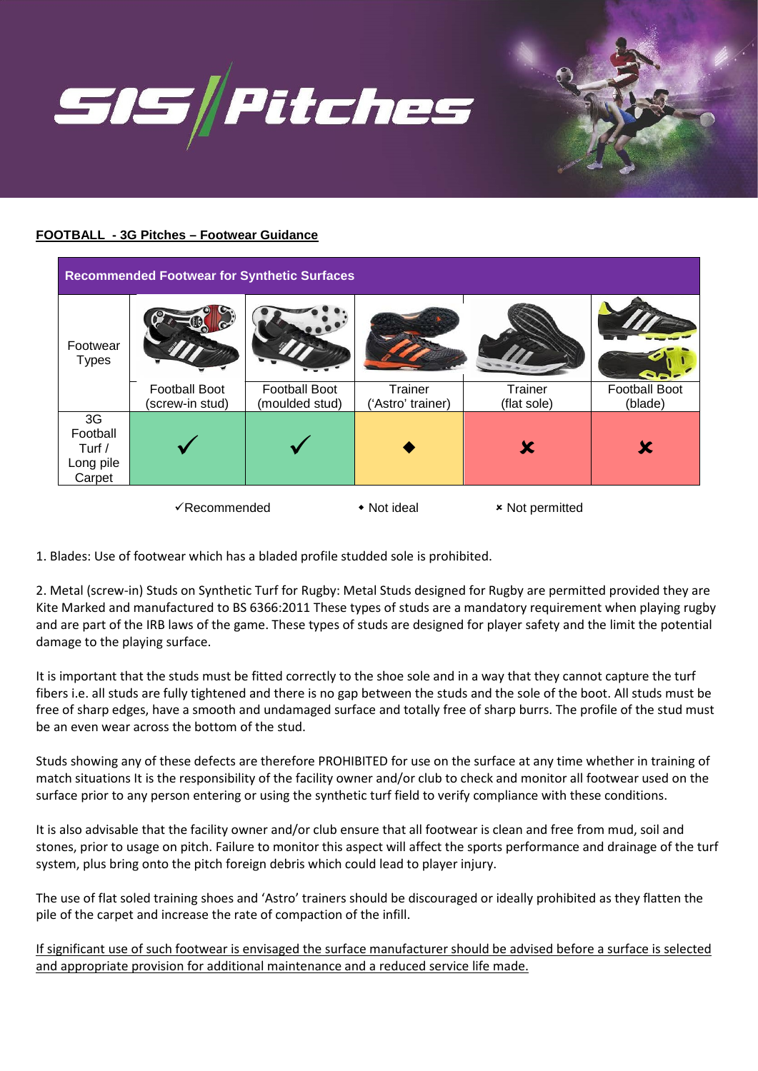

## **FOOTBALL - 3G Pitches – Footwear Guidance**

| <b>Recommended Footwear for Synthetic Surfaces</b> |                                         |                                        |                              |                        |                                 |
|----------------------------------------------------|-----------------------------------------|----------------------------------------|------------------------------|------------------------|---------------------------------|
| Footwear<br><b>Types</b>                           |                                         |                                        |                              |                        |                                 |
|                                                    | <b>Football Boot</b><br>(screw-in stud) | <b>Football Boot</b><br>(moulded stud) | Trainer<br>('Astro' trainer) | Trainer<br>(flat sole) | <b>Football Boot</b><br>(blade) |
| 3G<br>Football<br>Turf /<br>Long pile<br>Carpet    |                                         |                                        |                              | X                      | X                               |
| √Recommended                                       |                                         |                                        | • Not ideal                  | <b>× Not permitted</b> |                                 |

1. Blades: Use of footwear which has a bladed profile studded sole is prohibited.

2. Metal (screw-in) Studs on Synthetic Turf for Rugby: Metal Studs designed for Rugby are permitted provided they are Kite Marked and manufactured to BS 6366:2011 These types of studs are a mandatory requirement when playing rugby and are part of the IRB laws of the game. These types of studs are designed for player safety and the limit the potential damage to the playing surface.

It is important that the studs must be fitted correctly to the shoe sole and in a way that they cannot capture the turf fibers i.e. all studs are fully tightened and there is no gap between the studs and the sole of the boot. All studs must be free of sharp edges, have a smooth and undamaged surface and totally free of sharp burrs. The profile of the stud must be an even wear across the bottom of the stud.

Studs showing any of these defects are therefore PROHIBITED for use on the surface at any time whether in training of match situations It is the responsibility of the facility owner and/or club to check and monitor all footwear used on the surface prior to any person entering or using the synthetic turf field to verify compliance with these conditions.

It is also advisable that the facility owner and/or club ensure that all footwear is clean and free from mud, soil and stones, prior to usage on pitch. Failure to monitor this aspect will affect the sports performance and drainage of the turf system, plus bring onto the pitch foreign debris which could lead to player injury.

The use of flat soled training shoes and 'Astro' trainers should be discouraged or ideally prohibited as they flatten the pile of the carpet and increase the rate of compaction of the infill.

If significant use of such footwear is envisaged the surface manufacturer should be advised before a surface is selected and appropriate provision for additional maintenance and a reduced service life made.